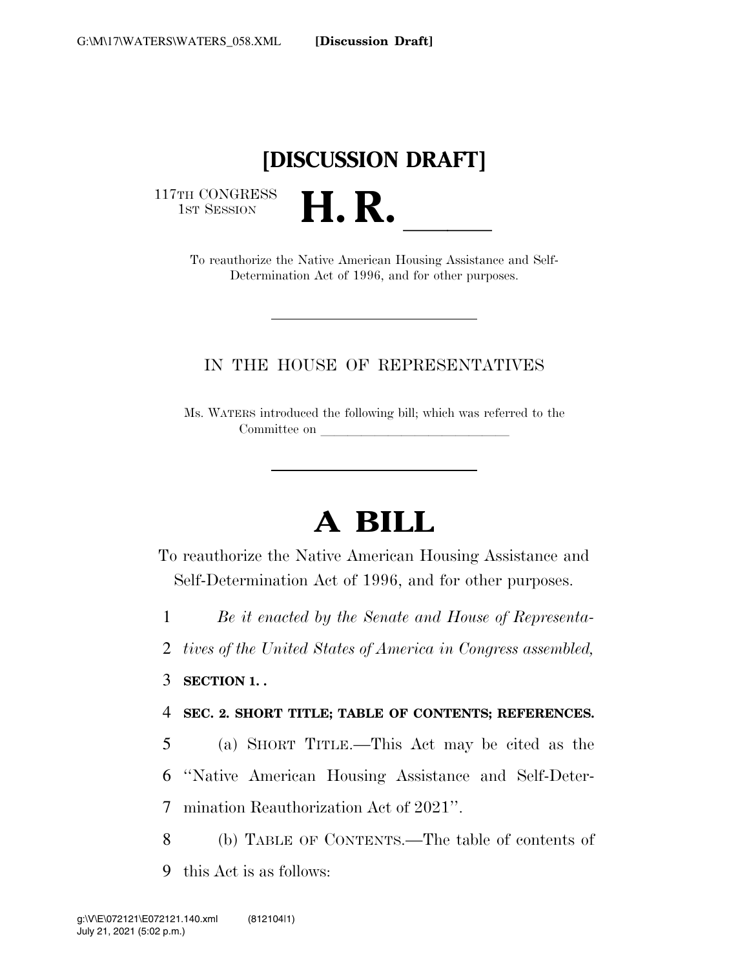# **[DISCUSSION DRAFT]**

117TH CONGRESS<br>1st Session

1ST SESSION **H. R.** ll To reauthorize the Native American Housing Assistance and Self-Determination Act of 1996, and for other purposes.

## IN THE HOUSE OF REPRESENTATIVES

Ms. WATERS introduced the following bill; which was referred to the Committee on

# **A BILL**

To reauthorize the Native American Housing Assistance and Self-Determination Act of 1996, and for other purposes.

1 *Be it enacted by the Senate and House of Representa-*

2 *tives of the United States of America in Congress assembled,* 

3 **SECTION 1. .** 

4 **SEC. 2. SHORT TITLE; TABLE OF CONTENTS; REFERENCES.** 

5 (a) SHORT TITLE.—This Act may be cited as the 6 ''Native American Housing Assistance and Self-Deter-7 mination Reauthorization Act of 2021''.

8 (b) TABLE OF CONTENTS.—The table of contents of 9 this Act is as follows: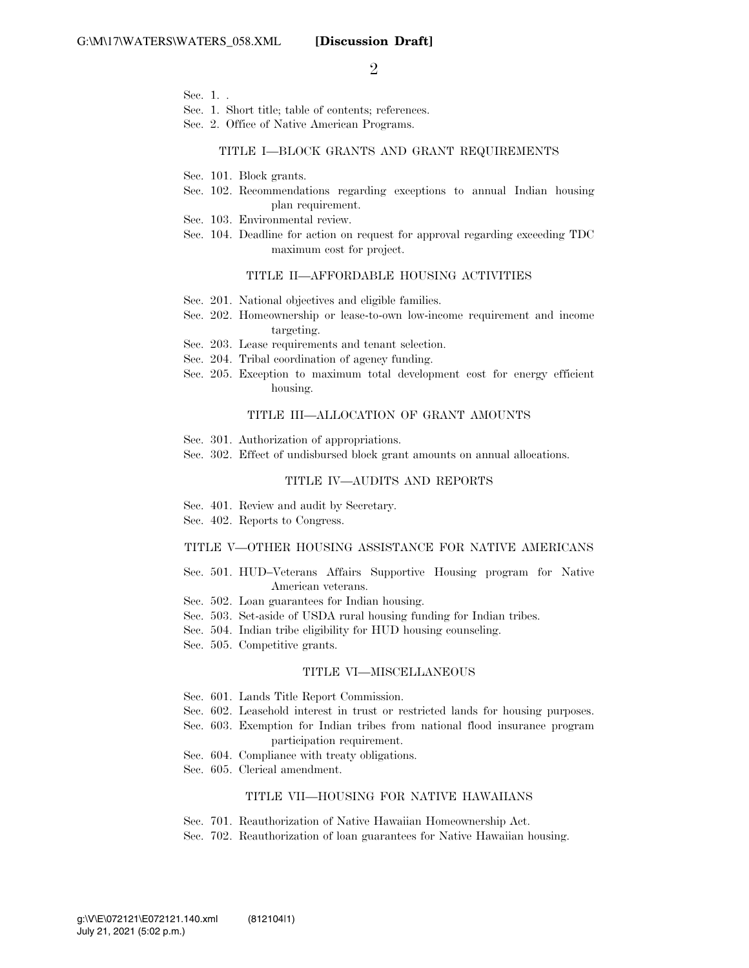$\mathfrak{D}$ 

- Sec. 1. .
- Sec. 1. Short title; table of contents; references.
- Sec. 2. Office of Native American Programs.

#### TITLE I—BLOCK GRANTS AND GRANT REQUIREMENTS

- Sec. 101. Block grants.
- Sec. 102. Recommendations regarding exceptions to annual Indian housing plan requirement.
- Sec. 103. Environmental review.
- Sec. 104. Deadline for action on request for approval regarding exceeding TDC maximum cost for project.

#### TITLE II—AFFORDABLE HOUSING ACTIVITIES

- Sec. 201. National objectives and eligible families.
- Sec. 202. Homeownership or lease-to-own low-income requirement and income targeting.
- Sec. 203. Lease requirements and tenant selection.
- Sec. 204. Tribal coordination of agency funding.
- Sec. 205. Exception to maximum total development cost for energy efficient housing.

#### TITLE III—ALLOCATION OF GRANT AMOUNTS

- Sec. 301. Authorization of appropriations.
- Sec. 302. Effect of undisbursed block grant amounts on annual allocations.

#### TITLE IV—AUDITS AND REPORTS

- Sec. 401. Review and audit by Secretary.
- Sec. 402. Reports to Congress.

#### TITLE V—OTHER HOUSING ASSISTANCE FOR NATIVE AMERICANS

- Sec. 501. HUD–Veterans Affairs Supportive Housing program for Native American veterans.
- Sec. 502. Loan guarantees for Indian housing.
- Sec. 503. Set-aside of USDA rural housing funding for Indian tribes.
- Sec. 504. Indian tribe eligibility for HUD housing counseling.
- Sec. 505. Competitive grants.

#### TITLE VI—MISCELLANEOUS

- Sec. 601. Lands Title Report Commission.
- Sec. 602. Leasehold interest in trust or restricted lands for housing purposes.
- Sec. 603. Exemption for Indian tribes from national flood insurance program participation requirement.
- Sec. 604. Compliance with treaty obligations.
- Sec. 605. Clerical amendment.

#### TITLE VII—HOUSING FOR NATIVE HAWAIIANS

- Sec. 701. Reauthorization of Native Hawaiian Homeownership Act.
- Sec. 702. Reauthorization of loan guarantees for Native Hawaiian housing.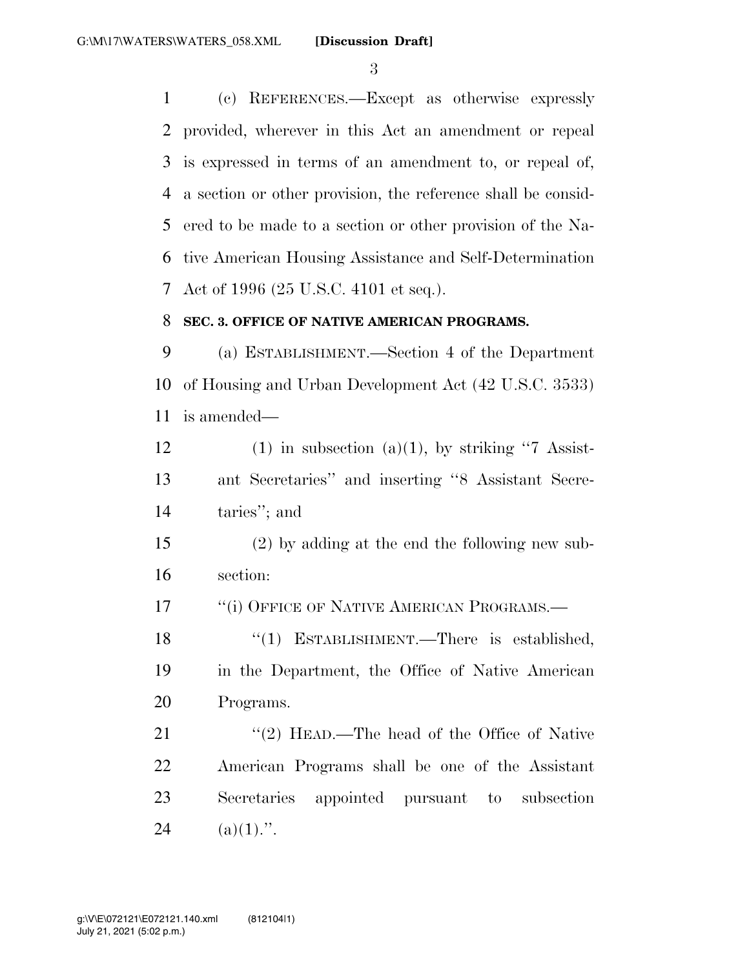(c) REFERENCES.—Except as otherwise expressly provided, wherever in this Act an amendment or repeal is expressed in terms of an amendment to, or repeal of, a section or other provision, the reference shall be consid- ered to be made to a section or other provision of the Na- tive American Housing Assistance and Self-Determination Act of 1996 (25 U.S.C. 4101 et seq.).

#### **SEC. 3. OFFICE OF NATIVE AMERICAN PROGRAMS.**

 (a) ESTABLISHMENT.—Section 4 of the Department of Housing and Urban Development Act (42 U.S.C. 3533) is amended—

12 (1) in subsection (a)(1), by striking "7 Assist- ant Secretaries'' and inserting ''8 Assistant Secre-taries''; and

 (2) by adding at the end the following new sub-section:

17 <sup>"</sup>(i) OFFICE OF NATIVE AMERICAN PROGRAMS.—

18 "(1) ESTABLISHMENT.—There is established, in the Department, the Office of Native American Programs.

21 ''(2) HEAD.—The head of the Office of Native American Programs shall be one of the Assistant Secretaries appointed pursuant to subsection 24 (a)(1).".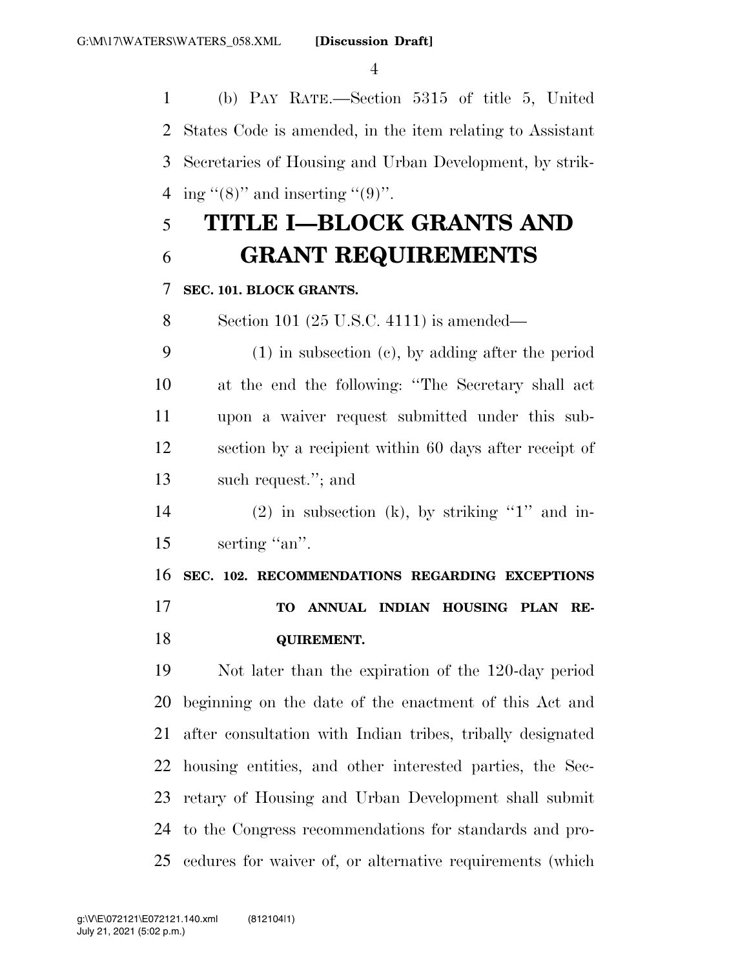(b) PAY RATE.—Section 5315 of title 5, United States Code is amended, in the item relating to Assistant Secretaries of Housing and Urban Development, by strik-4 ing "(8)" and inserting "(9)".

# **TITLE I—BLOCK GRANTS AND GRANT REQUIREMENTS**

#### **SEC. 101. BLOCK GRANTS.**

Section 101 (25 U.S.C. 4111) is amended—

 (1) in subsection (c), by adding after the period at the end the following: ''The Secretary shall act upon a waiver request submitted under this sub- section by a recipient within 60 days after receipt of such request.''; and

14 (2) in subsection (k), by striking "1" and in-15 serting "an".

 **SEC. 102. RECOMMENDATIONS REGARDING EXCEPTIONS TO ANNUAL INDIAN HOUSING PLAN RE-QUIREMENT.** 

 Not later than the expiration of the 120-day period beginning on the date of the enactment of this Act and after consultation with Indian tribes, tribally designated housing entities, and other interested parties, the Sec- retary of Housing and Urban Development shall submit to the Congress recommendations for standards and pro-cedures for waiver of, or alternative requirements (which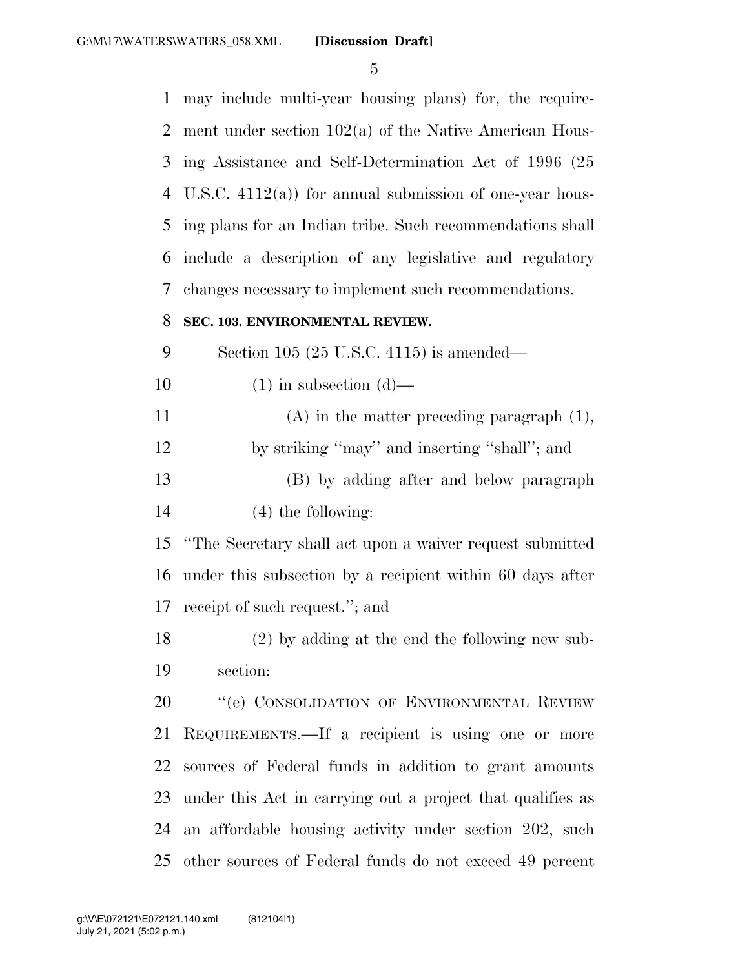may include multi-year housing plans) for, the require- ment under section 102(a) of the Native American Hous- ing Assistance and Self-Determination Act of 1996 (25 U.S.C. 4112(a)) for annual submission of one-year hous- ing plans for an Indian tribe. Such recommendations shall include a description of any legislative and regulatory changes necessary to implement such recommendations. **SEC. 103. ENVIRONMENTAL REVIEW.**  Section 105 (25 U.S.C. 4115) is amended—  $(1)$  in subsection  $(d)$ — (A) in the matter preceding paragraph (1), by striking ''may'' and inserting ''shall''; and (B) by adding after and below paragraph (4) the following: ''The Secretary shall act upon a waiver request submitted under this subsection by a recipient within 60 days after receipt of such request.''; and (2) by adding at the end the following new sub- section: 20 "'(e) CONSOLIDATION OF ENVIRONMENTAL REVIEW REQUIREMENTS.—If a recipient is using one or more sources of Federal funds in addition to grant amounts under this Act in carrying out a project that qualifies as an affordable housing activity under section 202, such other sources of Federal funds do not exceed 49 percent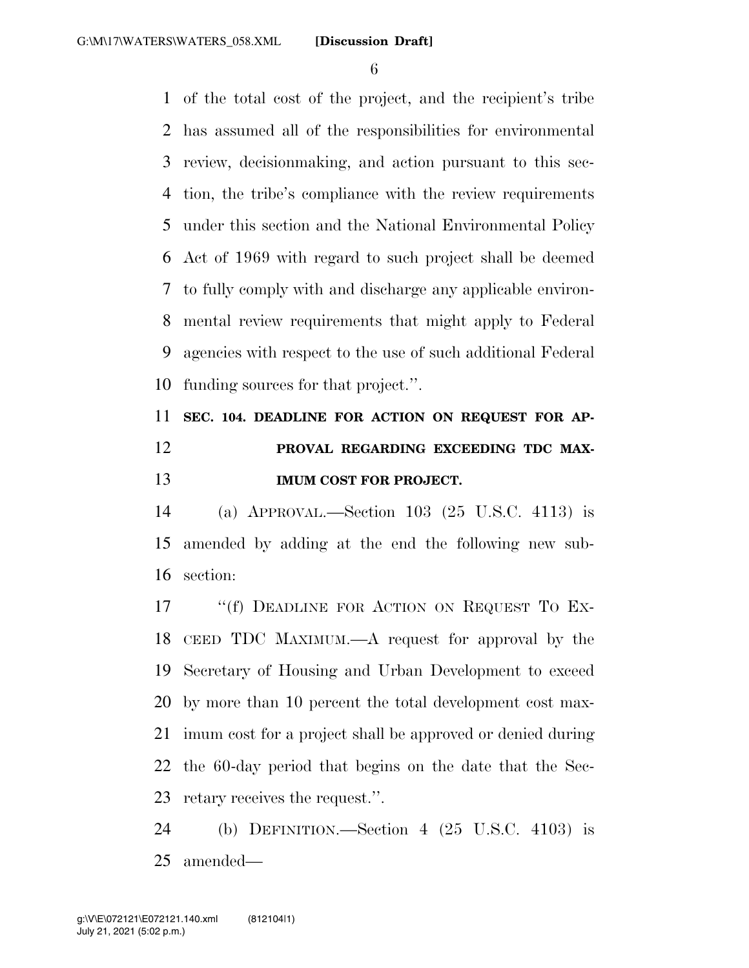of the total cost of the project, and the recipient's tribe has assumed all of the responsibilities for environmental review, decisionmaking, and action pursuant to this sec- tion, the tribe's compliance with the review requirements under this section and the National Environmental Policy Act of 1969 with regard to such project shall be deemed to fully comply with and discharge any applicable environ- mental review requirements that might apply to Federal agencies with respect to the use of such additional Federal funding sources for that project.''.

# **SEC. 104. DEADLINE FOR ACTION ON REQUEST FOR AP- PROVAL REGARDING EXCEEDING TDC MAX-IMUM COST FOR PROJECT.**

 (a) APPROVAL.—Section 103 (25 U.S.C. 4113) is amended by adding at the end the following new sub-section:

17 ""(f) DEADLINE FOR ACTION ON REQUEST TO EX- CEED TDC MAXIMUM.—A request for approval by the Secretary of Housing and Urban Development to exceed by more than 10 percent the total development cost max- imum cost for a project shall be approved or denied during the 60-day period that begins on the date that the Sec-retary receives the request.''.

 (b) DEFINITION.—Section 4 (25 U.S.C. 4103) is amended—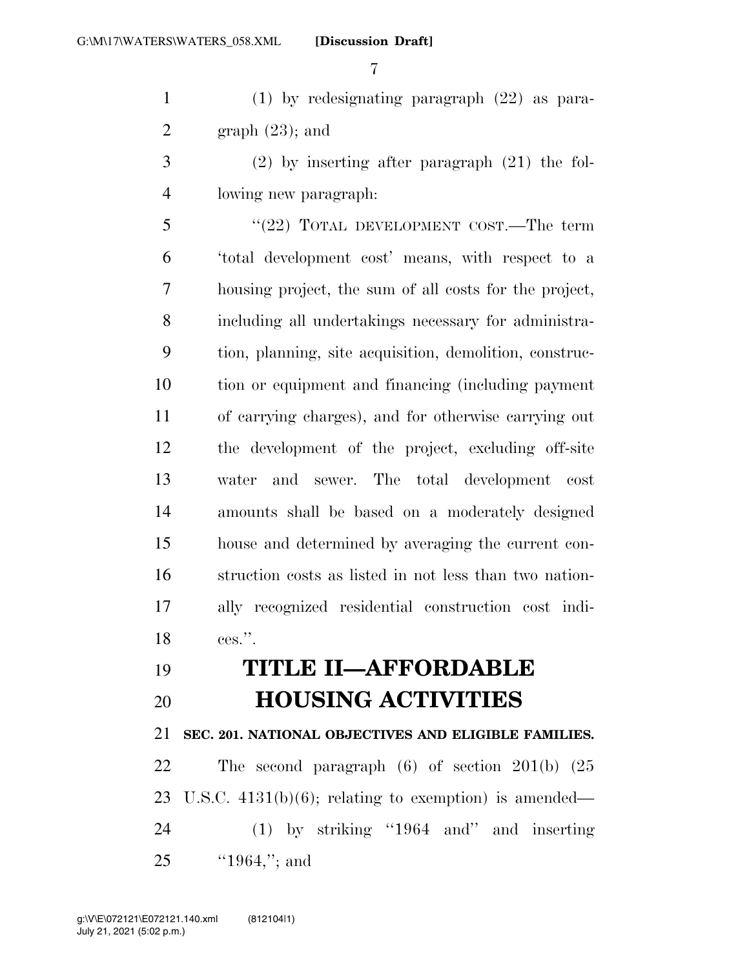(1) by redesignating paragraph (22) as para-2 graph  $(23)$ ; and

 (2) by inserting after paragraph (21) the fol-lowing new paragraph:

5 "(22) TOTAL DEVELOPMENT COST.—The term 'total development cost' means, with respect to a housing project, the sum of all costs for the project, including all undertakings necessary for administra- tion, planning, site acquisition, demolition, construc- tion or equipment and financing (including payment of carrying charges), and for otherwise carrying out the development of the project, excluding off-site water and sewer. The total development cost amounts shall be based on a moderately designed house and determined by averaging the current con- struction costs as listed in not less than two nation- ally recognized residential construction cost indi-ces.''.

# **TITLE II—AFFORDABLE HOUSING ACTIVITIES**

**SEC. 201. NATIONAL OBJECTIVES AND ELIGIBLE FAMILIES.** 

 The second paragraph (6) of section 201(b) (25 U.S.C. 4131(b)(6); relating to exemption) is amended— (1) by striking ''1964 and'' and inserting ''1964,''; and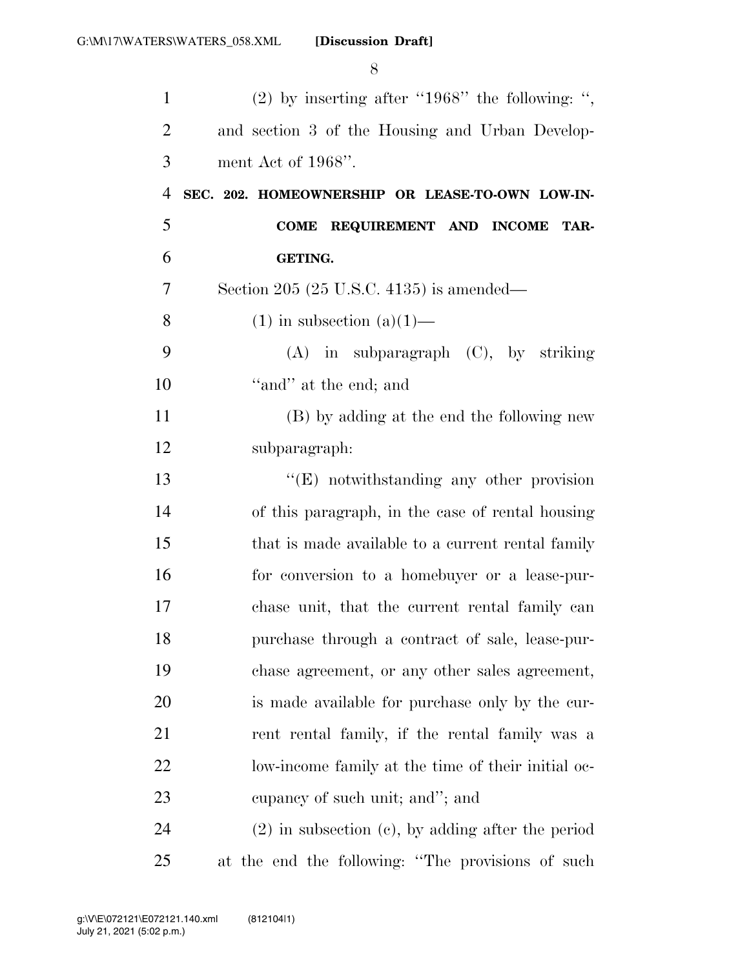| $\mathbf{1}$   | $(2)$ by inserting after "1968" the following: ",      |
|----------------|--------------------------------------------------------|
| $\overline{2}$ | and section 3 of the Housing and Urban Develop-        |
| 3              | ment Act of 1968".                                     |
| $\overline{4}$ | SEC. 202. HOMEOWNERSHIP OR LEASE-TO-OWN LOW-IN-        |
| 5              | REQUIREMENT AND INCOME<br>TAR-<br><b>COME</b>          |
| 6              | <b>GETING.</b>                                         |
| 7              | Section 205 (25 U.S.C. 4135) is amended—               |
| 8              | $(1)$ in subsection $(a)(1)$ —                         |
| 9              | $(A)$ in subparagraph $(C)$ , by striking              |
| 10             | "and" at the end; and                                  |
| 11             | (B) by adding at the end the following new             |
| 12             | subparagraph:                                          |
| 13             | $\lq\lq(E)$ notwithstanding any other provision        |
| 14             | of this paragraph, in the case of rental housing       |
| 15             | that is made available to a current rental family      |
| 16             | for conversion to a homebuyer or a lease-pur-          |
| 17             | chase unit, that the current rental family can         |
| 18             | purchase through a contract of sale, lease-pur-        |
| 19             | chase agreement, or any other sales agreement,         |
| 20             | is made available for purchase only by the cur-        |
| 21             | rent rental family, if the rental family was a         |
| 22             | low-income family at the time of their initial oc-     |
| 23             | eupancy of such unit; and"; and                        |
| 24             | $(2)$ in subsection $(e)$ , by adding after the period |
| 25             | at the end the following: "The provisions of such      |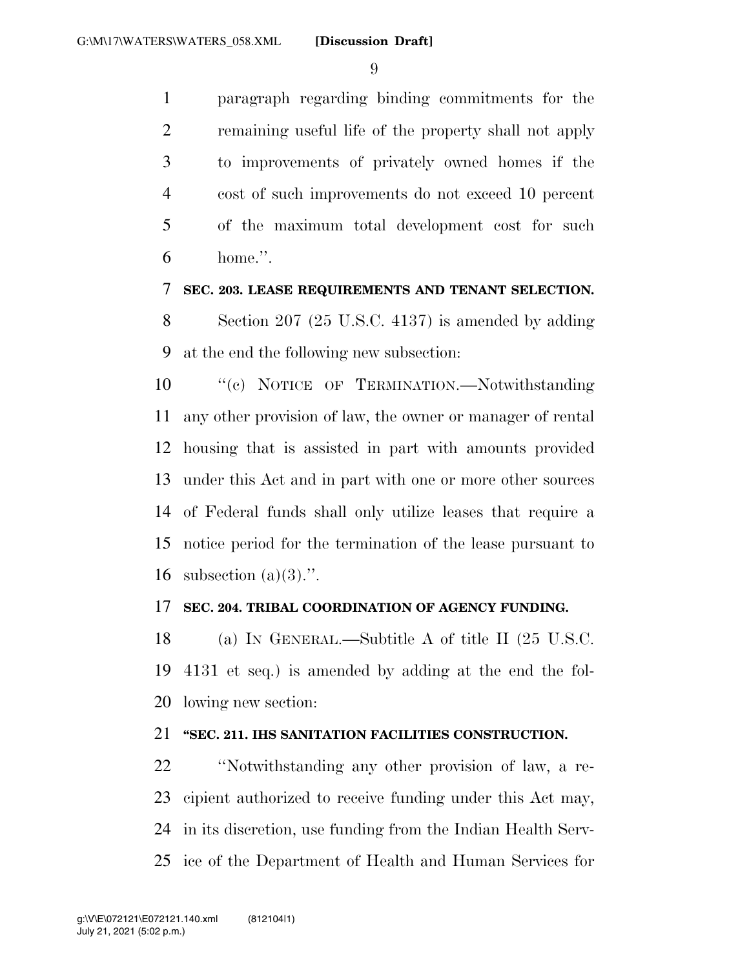paragraph regarding binding commitments for the remaining useful life of the property shall not apply to improvements of privately owned homes if the cost of such improvements do not exceed 10 percent of the maximum total development cost for such home.''.

#### **SEC. 203. LEASE REQUIREMENTS AND TENANT SELECTION.**

 Section 207 (25 U.S.C. 4137) is amended by adding at the end the following new subsection:

10 "'(c) NOTICE OF TERMINATION.—Notwithstanding any other provision of law, the owner or manager of rental housing that is assisted in part with amounts provided under this Act and in part with one or more other sources of Federal funds shall only utilize leases that require a notice period for the termination of the lease pursuant to 16 subsection  $(a)(3)$ .".

#### **SEC. 204. TRIBAL COORDINATION OF AGENCY FUNDING.**

 (a) IN GENERAL.—Subtitle A of title II (25 U.S.C. 4131 et seq.) is amended by adding at the end the fol-lowing new section:

#### **''SEC. 211. IHS SANITATION FACILITIES CONSTRUCTION.**

 ''Notwithstanding any other provision of law, a re- cipient authorized to receive funding under this Act may, in its discretion, use funding from the Indian Health Serv-ice of the Department of Health and Human Services for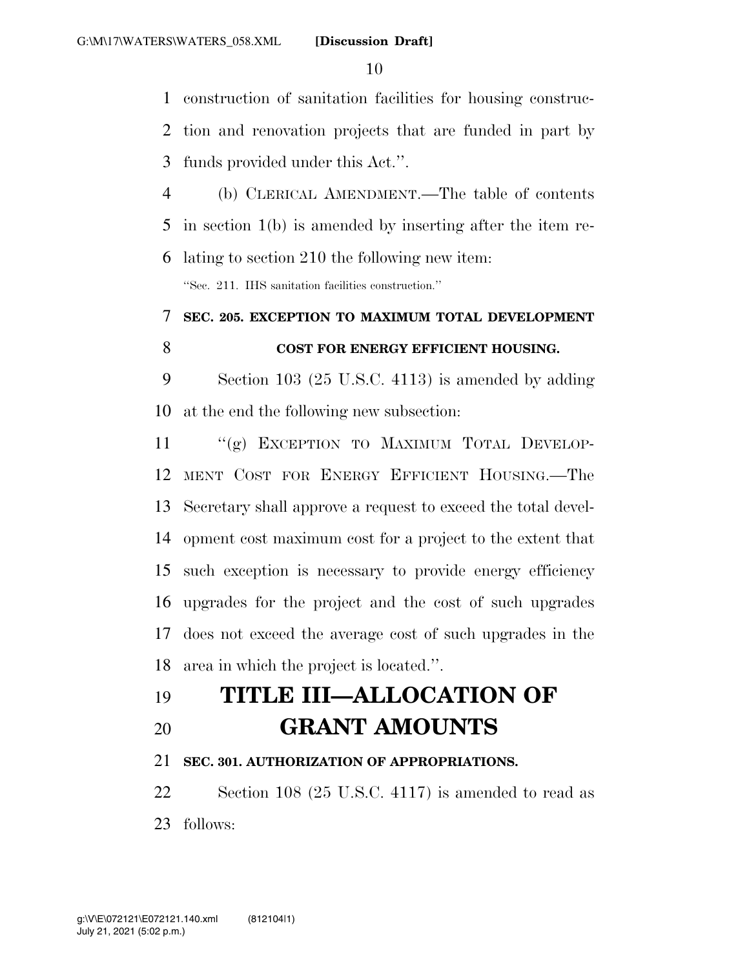construction of sanitation facilities for housing construc-

 tion and renovation projects that are funded in part by funds provided under this Act.''.

 (b) CLERICAL AMENDMENT.—The table of contents in section 1(b) is amended by inserting after the item re-

 lating to section 210 the following new item: ''Sec. 211. IHS sanitation facilities construction.''

## **SEC. 205. EXCEPTION TO MAXIMUM TOTAL DEVELOPMENT COST FOR ENERGY EFFICIENT HOUSING.**

 Section 103 (25 U.S.C. 4113) is amended by adding at the end the following new subsection:

11 "(g) EXCEPTION TO MAXIMUM TOTAL DEVELOP- MENT COST FOR ENERGY EFFICIENT HOUSING.—The Secretary shall approve a request to exceed the total devel- opment cost maximum cost for a project to the extent that such exception is necessary to provide energy efficiency upgrades for the project and the cost of such upgrades does not exceed the average cost of such upgrades in the area in which the project is located.''.

# **TITLE III—ALLOCATION OF**

**GRANT AMOUNTS** 

## **SEC. 301. AUTHORIZATION OF APPROPRIATIONS.**

 Section 108 (25 U.S.C. 4117) is amended to read as follows: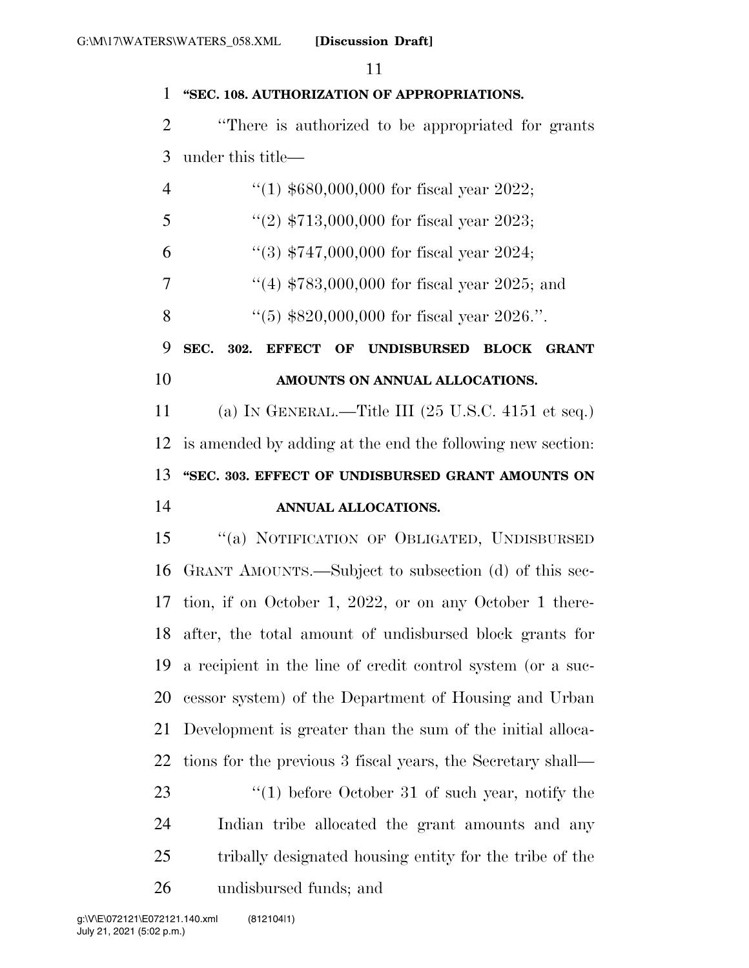#### **''SEC. 108. AUTHORIZATION OF APPROPRIATIONS.**

 ''There is authorized to be appropriated for grants under this title—

| $\overline{4}$ | "(1) $$680,000,000$ for fiscal year 2022;                             |
|----------------|-----------------------------------------------------------------------|
| 5              | "(2) $$713,000,000$ for fiscal year 2023;                             |
| 6              | "(3) $$747,000,000$ for fiscal year 2024;                             |
| 7              | "(4) $$783,000,000$ for fiscal year 2025; and                         |
| 8              | "(5) $$820,000,000$ for fiscal year 2026.".                           |
| 9              | SEC.<br>EFFECT OF UNDISBURSED BLOCK<br>302.<br><b>GRANT</b>           |
| 10             | AMOUNTS ON ANNUAL ALLOCATIONS.                                        |
| 11             | (a) IN GENERAL.—Title III $(25 \text{ U.S.C. } 4151 \text{ et seq.})$ |
| 12             | is amended by adding at the end the following new section:            |
| 13             | "SEC. 303. EFFECT OF UNDISBURSED GRANT AMOUNTS ON                     |
| 14             | ANNUAL ALLOCATIONS.                                                   |
| 15             | "(a) NOTIFICATION OF OBLIGATED, UNDISBURSED                           |
| 16             | GRANT AMOUNTS.—Subject to subsection (d) of this sec-                 |
| 17             | tion, if on October 1, 2022, or on any October 1 there-               |
| 18             | after, the total amount of undisbursed block grants for               |
| 19             | a recipient in the line of credit control system (or a suc-           |
| 20             | cessor system) of the Department of Housing and Urban                 |
| 21             | Development is greater than the sum of the initial alloca-            |
| 22             | tions for the previous 3 fiscal years, the Secretary shall—           |
| 23             | $(1)$ before October 31 of such year, notify the                      |
| 24             | Indian tribe allocated the grant amounts and any                      |
| 25             | tribally designated housing entity for the tribe of the               |
| 26             | undisbursed funds; and                                                |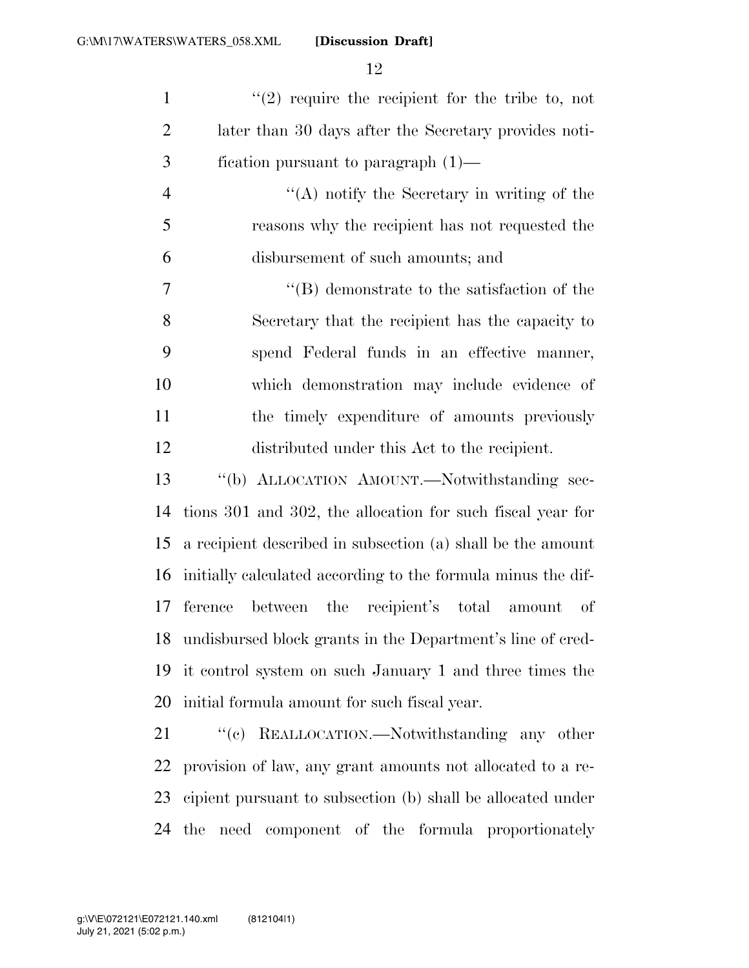| $\mathbf{1}$ | $''(2)$ require the recipient for the tribe to, not   |
|--------------|-------------------------------------------------------|
| 2            | later than 30 days after the Secretary provides noti- |
| 3            | fication pursuant to paragraph $(1)$ —                |

 ''(A) notify the Secretary in writing of the reasons why the recipient has not requested the disbursement of such amounts; and

 ''(B) demonstrate to the satisfaction of the Secretary that the recipient has the capacity to spend Federal funds in an effective manner, which demonstration may include evidence of the timely expenditure of amounts previously distributed under this Act to the recipient.

 ''(b) ALLOCATION AMOUNT.—Notwithstanding sec- tions 301 and 302, the allocation for such fiscal year for a recipient described in subsection (a) shall be the amount initially calculated according to the formula minus the dif- ference between the recipient's total amount of undisbursed block grants in the Department's line of cred- it control system on such January 1 and three times the initial formula amount for such fiscal year.

21 "'(c) REALLOCATION.—Notwithstanding any other provision of law, any grant amounts not allocated to a re- cipient pursuant to subsection (b) shall be allocated under the need component of the formula proportionately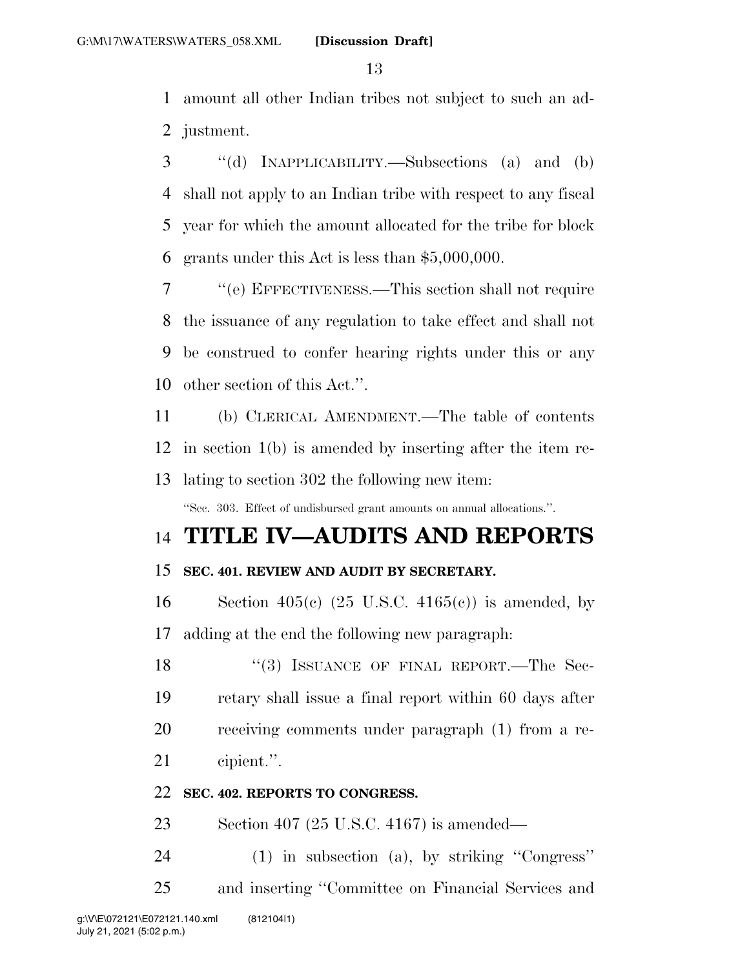amount all other Indian tribes not subject to such an ad-justment.

 ''(d) INAPPLICABILITY.—Subsections (a) and (b) shall not apply to an Indian tribe with respect to any fiscal year for which the amount allocated for the tribe for block grants under this Act is less than \$5,000,000.

 ''(e) EFFECTIVENESS.—This section shall not require the issuance of any regulation to take effect and shall not be construed to confer hearing rights under this or any other section of this Act.''.

 (b) CLERICAL AMENDMENT.—The table of contents in section 1(b) is amended by inserting after the item re-lating to section 302 the following new item:

''Sec. 303. Effect of undisbursed grant amounts on annual allocations.''.

## **TITLE IV—AUDITS AND REPORTS**

## **SEC. 401. REVIEW AND AUDIT BY SECRETARY.**

16 Section 405(c)  $(25 \text{ U.S.C. } 4165(c))$  is amended, by adding at the end the following new paragraph:

18 "(3) ISSUANCE OF FINAL REPORT.—The Sec- retary shall issue a final report within 60 days after receiving comments under paragraph (1) from a re-cipient.''.

#### **SEC. 402. REPORTS TO CONGRESS.**

Section 407 (25 U.S.C. 4167) is amended—

(1) in subsection (a), by striking ''Congress''

and inserting ''Committee on Financial Services and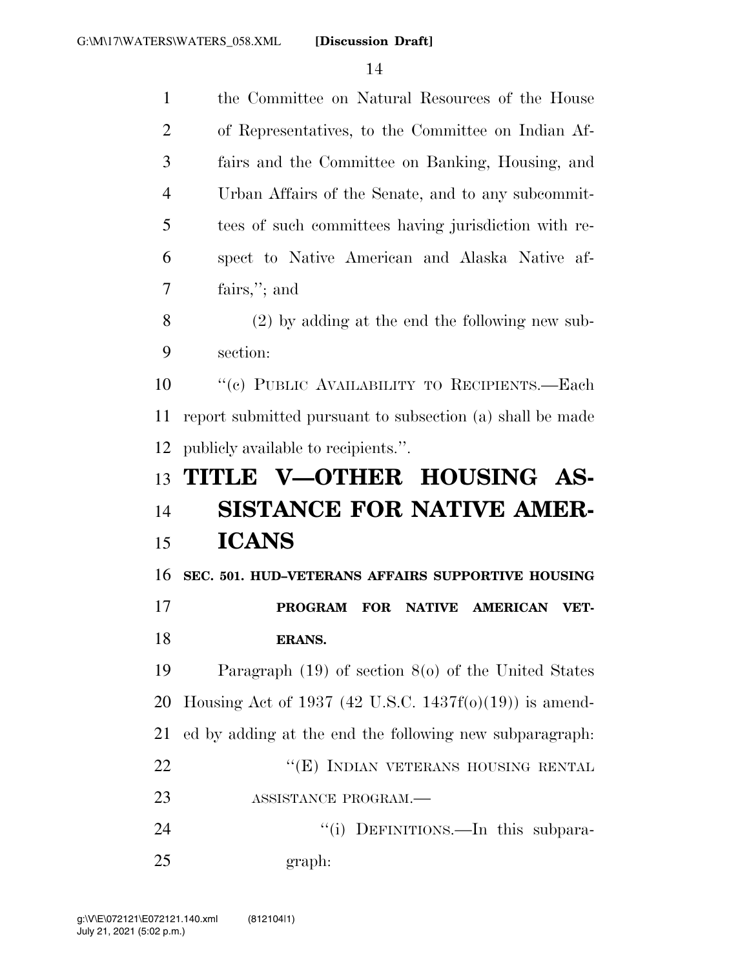| $\mathbf{1}$   | the Committee on Natural Resources of the House           |
|----------------|-----------------------------------------------------------|
| $\overline{2}$ | of Representatives, to the Committee on Indian Af-        |
| 3              | fairs and the Committee on Banking, Housing, and          |
| 4              | Urban Affairs of the Senate, and to any subcommit-        |
| 5              | tees of such committees having jurisdiction with re-      |
| 6              | spect to Native American and Alaska Native af-            |
| 7              | fairs,"; and                                              |
| 8              | $(2)$ by adding at the end the following new sub-         |
| 9              | section:                                                  |
| 10             | "(c) PUBLIC AVAILABILITY TO RECIPIENTS.-Each              |
| 11             | report submitted pursuant to subsection (a) shall be made |
| 12             | publicly available to recipients.".                       |
|                |                                                           |
| 13             | TITLE V-OTHER HOUSING AS-                                 |
| 14             | <b>SISTANCE FOR NATIVE AMER-</b>                          |
| 15             | <b>ICANS</b>                                              |
| 16             | SEC. 501. HUD-VETERANS AFFAIRS SUPPORTIVE HOUSING         |
| 17             | <b>PROGRAM</b><br><b>FOR</b><br>NATIVE AMERICAN<br>VET-   |
| 18             | ERANS.                                                    |
| 19             | Paragraph $(19)$ of section $8(0)$ of the United States   |
| 20             | Housing Act of 1937 (42 U.S.C. 1437f(o)(19)) is amend-    |
| 21             | ed by adding at the end the following new subparagraph.   |
| 22             | "(E) INDIAN VETERANS HOUSING RENTAL                       |
| 23             | ASSISTANCE PROGRAM.                                       |
| 24             | "(i) DEFINITIONS.—In this subpara-                        |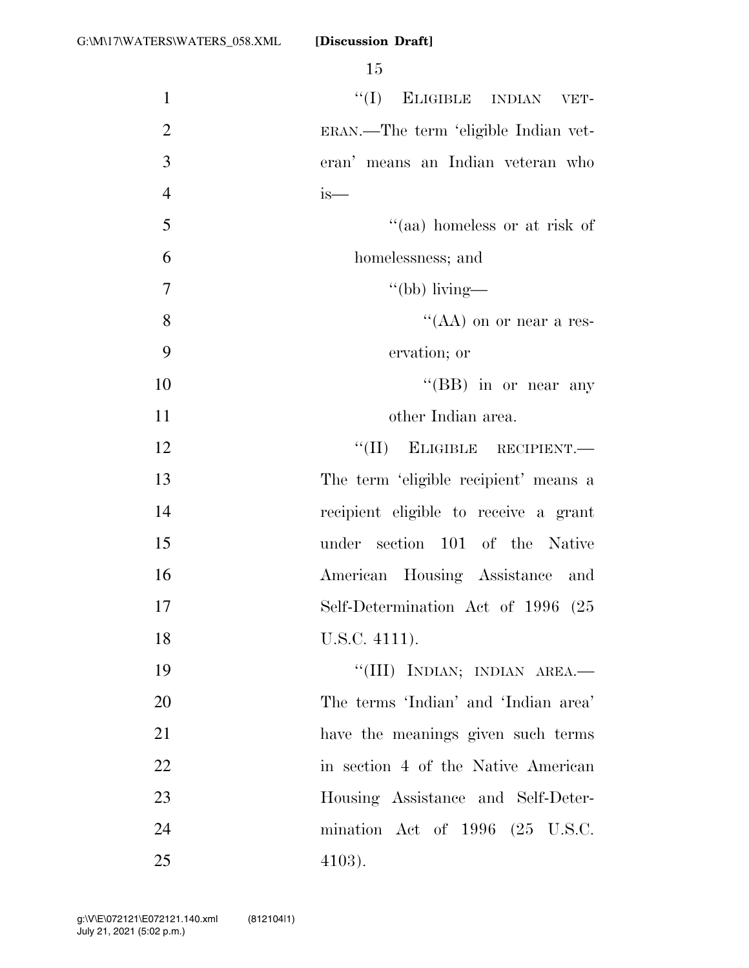| $\mathbf{1}$   | $``(I)$ ELIGIBLE INDIAN VET-                 |
|----------------|----------------------------------------------|
| $\overline{2}$ | ERAN.—The term 'eligible Indian vet-         |
| 3              | eran' means an Indian veteran who            |
| $\overline{4}$ | is—                                          |
| 5              | "(aa) homeless or at risk of                 |
| 6              | homelessness; and                            |
| $\tau$         | "(bb) living—                                |
| 8              | "(AA) on or near a res-                      |
| 9              | ervation; or                                 |
| 10             | "(BB) in or near any                         |
| 11             | other Indian area.                           |
| 12             | $``(II)$ ELIGIBLE RECIPIENT.                 |
| 13             | The term 'eligible recipient' means a        |
| 14             | recipient eligible to receive a grant        |
| 15             | under section 101 of the Native              |
| 16             | American Housing Assistance and              |
| 17             | Self-Determination Act of 1996 (25           |
| 18             | U.S.C. 4111).                                |
| 19             | "(III) INDIAN; INDIAN AREA.-                 |
| 20             | The terms 'Indian' and 'Indian area'         |
| 21             | have the meanings given such terms           |
| 22             | in section 4 of the Native American          |
| 23             | Housing Assistance and Self-Deter-           |
| 24             | mination Act of $1996$ $(25 \text{ U.S.C.})$ |
| 25             | $4103$ ).                                    |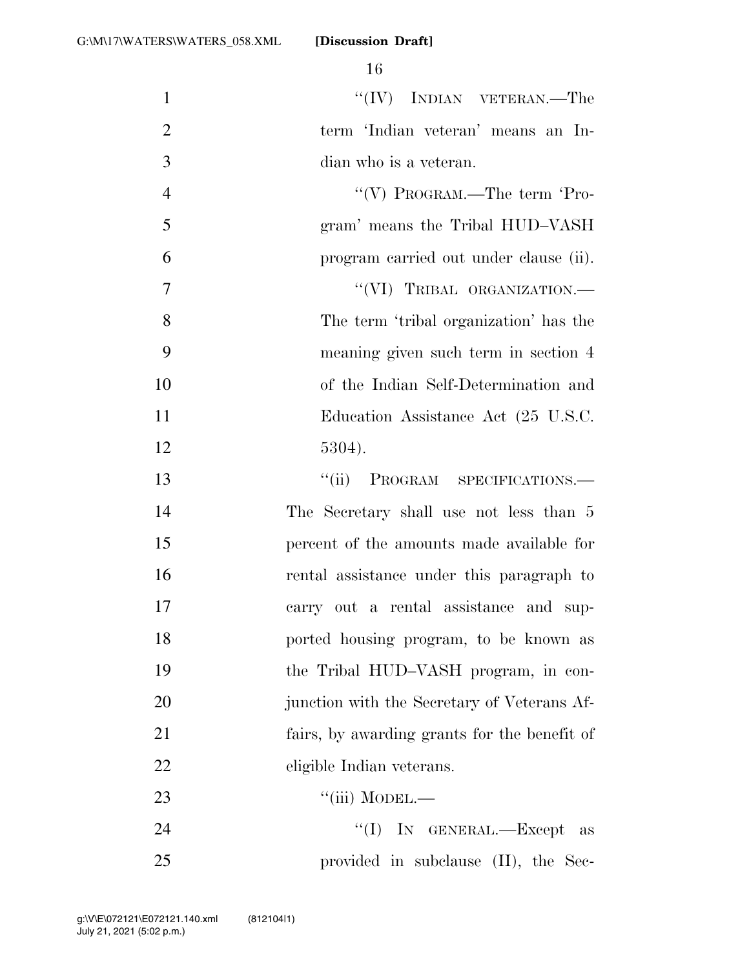| $\mathbf{1}$   | $``(IV)$ INDIAN VETERAN.—The                 |
|----------------|----------------------------------------------|
| $\overline{2}$ | term 'Indian veteran' means an In-           |
| 3              | dian who is a veteran.                       |
| $\overline{4}$ | "(V) PROGRAM.—The term 'Pro-                 |
| 5              | gram' means the Tribal HUD-VASH              |
| 6              | program carried out under clause (ii).       |
| 7              | "(VI) TRIBAL ORGANIZATION.-                  |
| 8              | The term 'tribal organization' has the       |
| 9              | meaning given such term in section 4         |
| 10             | of the Indian Self-Determination and         |
| 11             | Education Assistance Act (25 U.S.C.          |
| 12             | 5304).                                       |
| 13             | PROGRAM SPECIFICATIONS.<br>``(ii)            |
| 14             | The Secretary shall use not less than 5      |
| 15             | percent of the amounts made available for    |
| 16             | rental assistance under this paragraph to    |
| 17             | carry out a rental assistance and sup-       |
| 18             | ported housing program, to be known as       |
| 19             | the Tribal HUD-VASH program, in con-         |
| 20             | junction with the Secretary of Veterans Af-  |
| 21             | fairs, by awarding grants for the benefit of |
| 22             | eligible Indian veterans.                    |
| 23             | ``(iii) MODEL.                               |
| 24             | "(I) IN GENERAL.—Except as                   |
| 25             | provided in subclause (II), the Sec-         |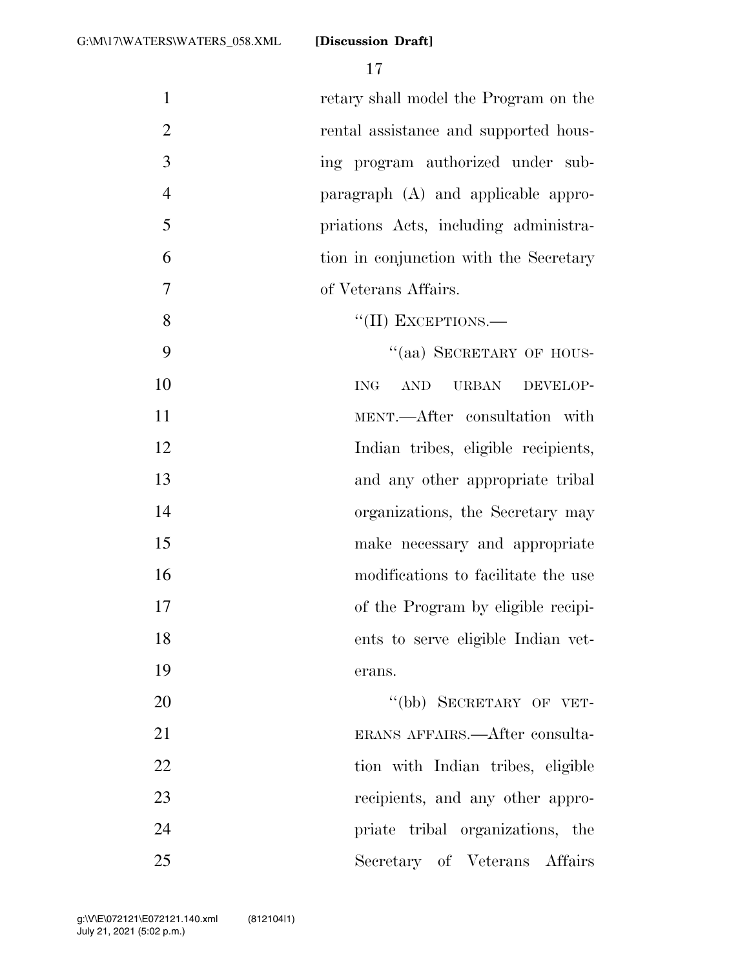17

 retary shall model the Program on the rental assistance and supported hous- ing program authorized under sub- paragraph (A) and applicable appro- priations Acts, including administra- tion in conjunction with the Secretary of Veterans Affairs. 8 "(II) EXCEPTIONS.— 9 "(aa) SECRETARY OF HOUS-10 ING AND URBAN DEVELOP-11 MENT.—After consultation with Indian tribes, eligible recipients, and any other appropriate tribal 14 organizations, the Secretary may make necessary and appropriate modifications to facilitate the use of the Program by eligible recipi- ents to serve eligible Indian vet-19 erans. 20 "(bb) SECRETARY OF VET- ERANS AFFAIRS.—After consulta-22 tion with Indian tribes, eligible 23 recipients, and any other appro- priate tribal organizations, the Secretary of Veterans Affairs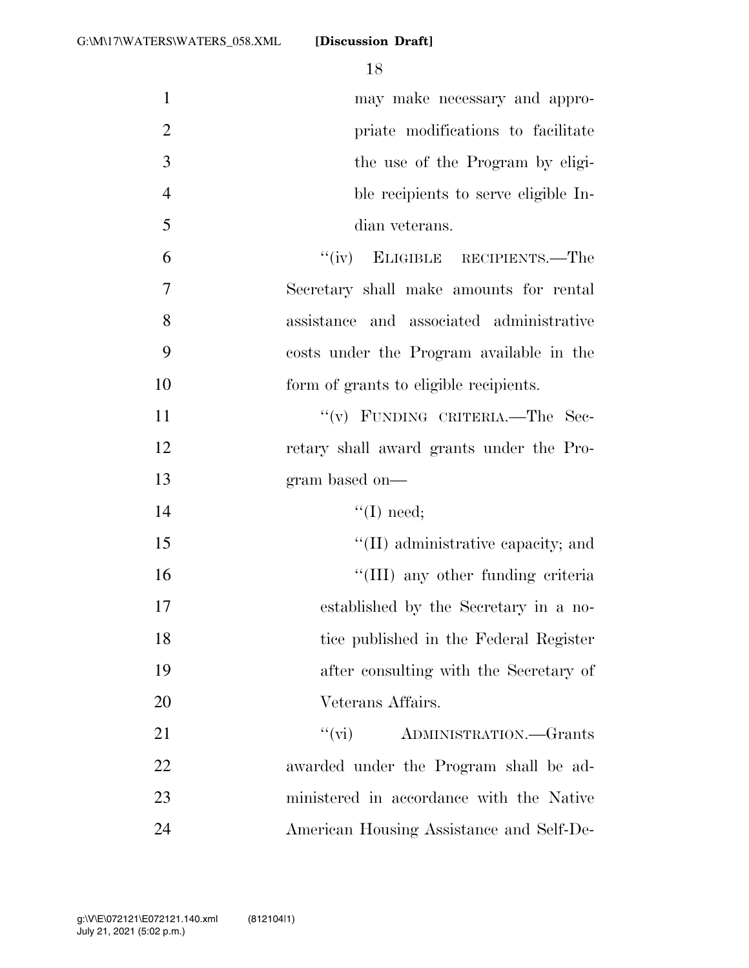| $\mathbf{1}$   | may make necessary and appro-              |
|----------------|--------------------------------------------|
| $\overline{2}$ | priate modifications to facilitate         |
| 3              | the use of the Program by eligi-           |
| $\overline{4}$ | ble recipients to serve eligible In-       |
| 5              | dian veterans.                             |
| 6              | "(iv) ELIGIBLE RECIPIENTS.—The             |
| $\overline{7}$ | Secretary shall make amounts for rental    |
| 8              | assistance and associated administrative   |
| 9              | costs under the Program available in the   |
| 10             | form of grants to eligible recipients.     |
| 11             | "(v) FUNDING CRITERIA.—The Sec-            |
| 12             | retary shall award grants under the Pro-   |
| 13             | gram based on-                             |
| 14             | $\lq\lq$ (I) need;                         |
| 15             | $\lq\lq$ (II) administrative capacity; and |
| 16             | "(III) any other funding criteria          |
| 17             | established by the Secretary in a no-      |
| 18             | tice published in the Federal Register     |
| 19             | after consulting with the Secretary of     |
| 20             | Veterans Affairs.                          |
| 21             | "(vi) ADMINISTRATION.—Grants               |
| 22             | awarded under the Program shall be ad-     |
| 23             | ministered in accordance with the Native   |
| 24             | American Housing Assistance and Self-De-   |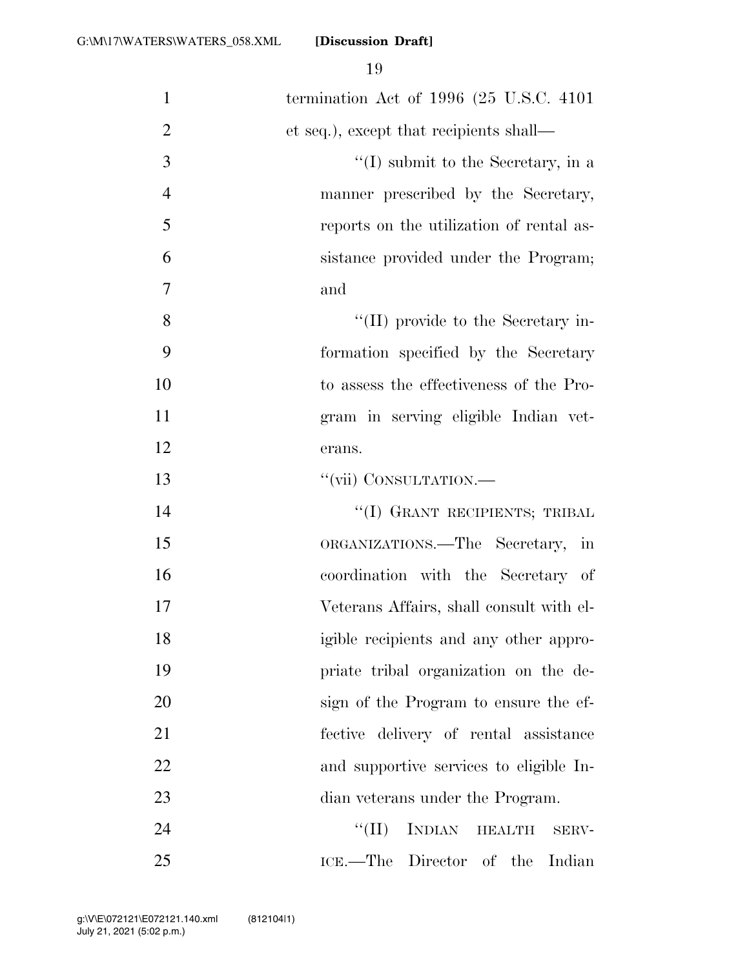| $\mathbf{1}$   | termination Act of $1996$ (25 U.S.C. 4101)               |
|----------------|----------------------------------------------------------|
| $\overline{2}$ | et seq.), except that recipients shall—                  |
| $\mathfrak{Z}$ | $\lq\lq$ submit to the Secretary, in a                   |
| $\overline{4}$ | manner prescribed by the Secretary,                      |
| 5              | reports on the utilization of rental as-                 |
| 6              | sistance provided under the Program;                     |
| 7              | and                                                      |
| 8              | $\lq\lq$ (II) provide to the Secretary in-               |
| 9              | formation specified by the Secretary                     |
| 10             | to assess the effectiveness of the Pro-                  |
| 11             | gram in serving eligible Indian vet-                     |
| 12             | erans.                                                   |
| 13             | "(vii) CONSULTATION.—                                    |
| 14             | "(I) GRANT RECIPIENTS; TRIBAL                            |
| 15             | ORGANIZATIONS.—The Secretary,<br>$\overline{\mathbf{m}}$ |
| 16             | coordination with the Secretary of                       |
| 17             | Veterans Affairs, shall consult with el-                 |
| 18             | igible recipients and any other appro-                   |
| 19             | priate tribal organization on the de-                    |
| 20             | sign of the Program to ensure the ef-                    |
| 21             | fective delivery of rental assistance                    |
| 22             | and supportive services to eligible In-                  |
| 23             | dian veterans under the Program.                         |
| 24             | INDIAN HEALTH<br>``(II)<br>SERV-                         |
| 25             | ICE.—The Director of the Indian                          |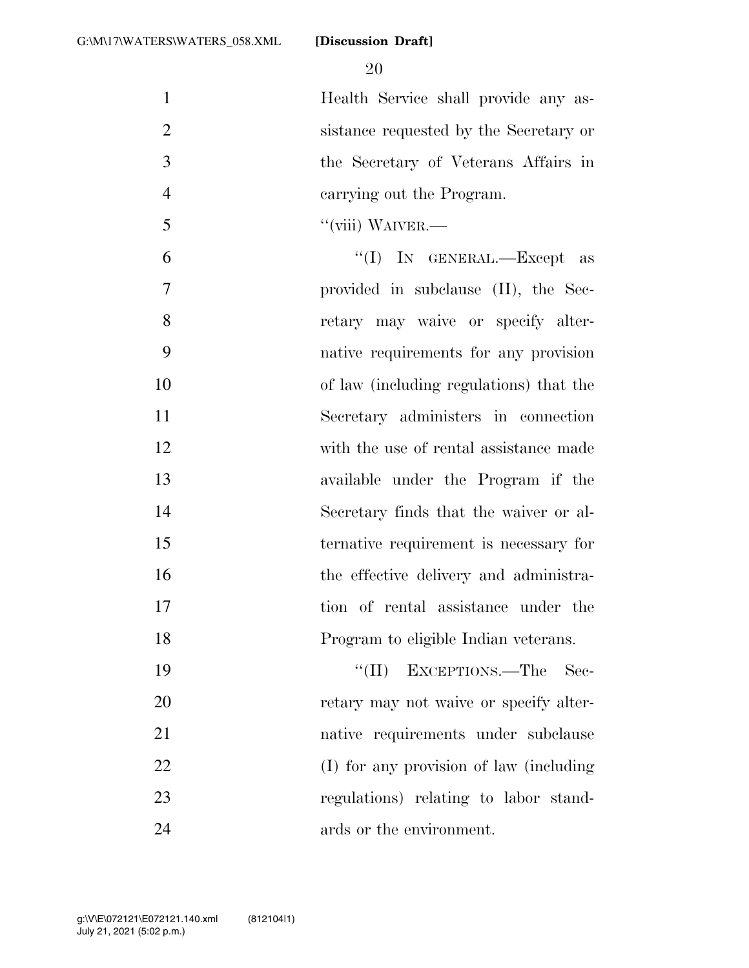Health Service shall provide any as- sistance requested by the Secretary or the Secretary of Veterans Affairs in carrying out the Program.

''(viii) WAIVER.—

 ''(I) IN GENERAL.—Except as provided in subclause (II), the Sec-8 retary may waive or specify alter- native requirements for any provision of law (including regulations) that the Secretary administers in connection with the use of rental assistance made available under the Program if the Secretary finds that the waiver or al- ternative requirement is necessary for 16 the effective delivery and administra- tion of rental assistance under the Program to eligible Indian veterans.

19 ''(II) EXCEPTIONS.—The Sec-20 retary may not waive or specify alter- native requirements under subclause (I) for any provision of law (including regulations) relating to labor stand-24 ards or the environment.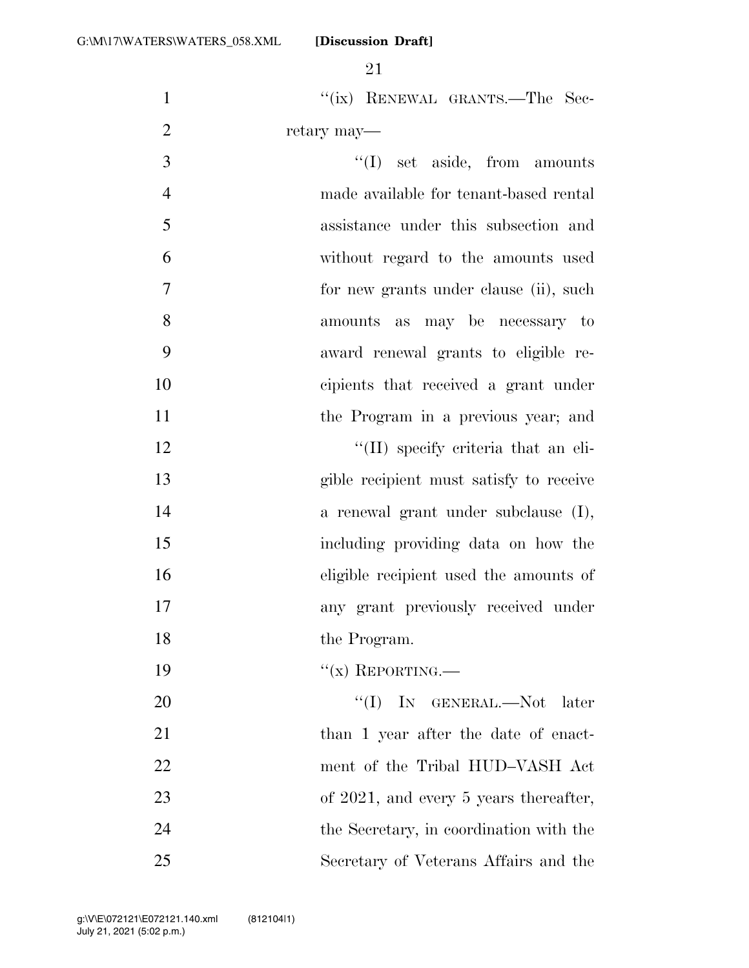21

1 "(ix) RENEWAL GRANTS.—The Sec-2 retary may— ''(I) set aside, from amounts made available for tenant-based rental assistance under this subsection and without regard to the amounts used for new grants under clause (ii), such amounts as may be necessary to

- 9 award renewal grants to eligible re-10 cipients that received a grant under
- 11 the Program in a previous year; and 12 ''(II) specify criteria that an eli-

 gible recipient must satisfy to receive a renewal grant under subclause (I), including providing data on how the eligible recipient used the amounts of any grant previously received under 18 the Program.

19  $"(\mathbf{x})$  REPORTING.

 ''(I) IN GENERAL.—Not later 21 than 1 year after the date of enact- ment of the Tribal HUD–VASH Act 23 of 2021, and every 5 years thereafter, the Secretary, in coordination with the Secretary of Veterans Affairs and the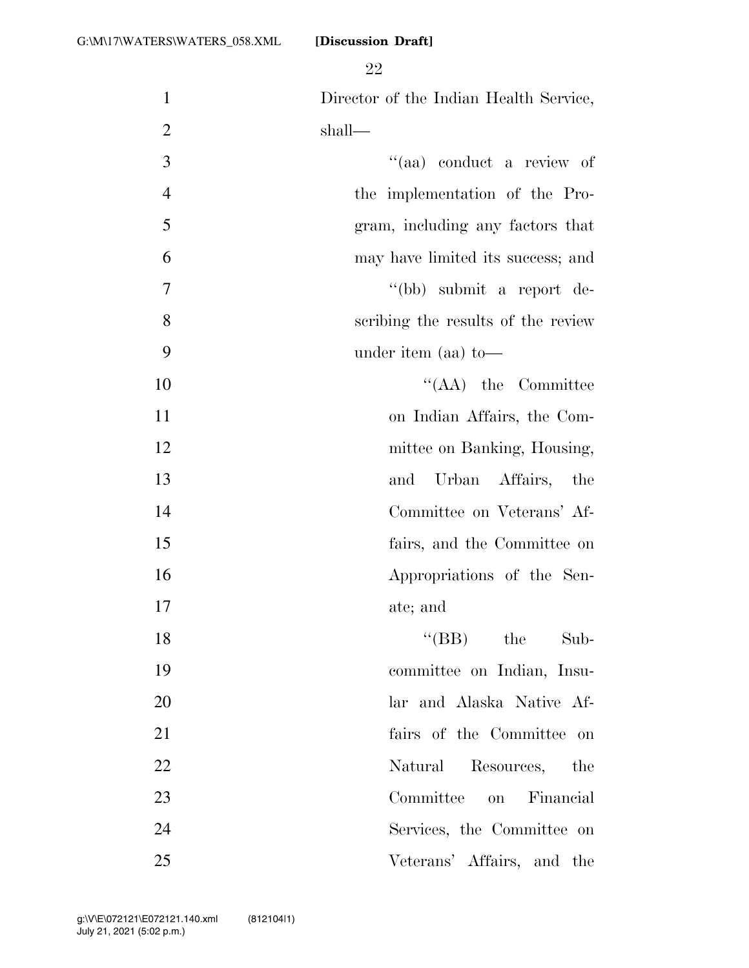Director of the Indian Health Service, shall—  $"(aa)$  conduct a review of the implementation of the Pro- gram, including any factors that may have limited its success; and ''(bb) submit a report de- scribing the results of the review under item (aa) to— 10 ''(AA) the Committee on Indian Affairs, the Com-12 mittee on Banking, Housing, and Urban Affairs, the Committee on Veterans' Af- fairs, and the Committee on Appropriations of the Sen- ate; and 18 ''(BB) the Sub- committee on Indian, Insu- lar and Alaska Native Af- fairs of the Committee on 22 Natural Resources, the Committee on Financial Services, the Committee on Veterans' Affairs, and the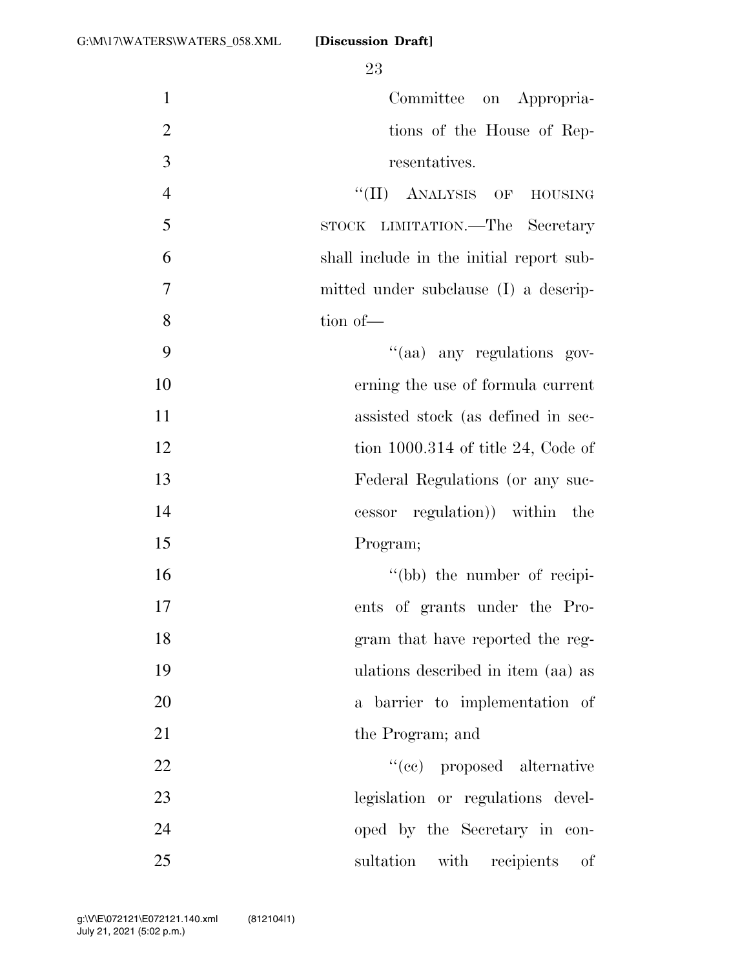| $\mathbf{1}$   | Committee on Appropria-                  |
|----------------|------------------------------------------|
| $\overline{2}$ | tions of the House of Rep-               |
| 3              | resentatives.                            |
| $\overline{4}$ | "(II) ANALYSIS OF HOUSING                |
| 5              | STOCK LIMITATION.—The Secretary          |
| 6              | shall include in the initial report sub- |
| 7              | mitted under subclause (I) a descrip-    |
| 8              | tion of-                                 |
| 9              | "(aa) any regulations gov-               |
| 10             | erning the use of formula current        |
| 11             | assisted stock (as defined in sec-       |
| 12             | tion $1000.314$ of title 24, Code of     |
| 13             | Federal Regulations (or any suc-         |
| 14             | cessor regulation) within the            |
| 15             | Program;                                 |
| 16             | "(bb) the number of recipi-              |
| 17             | ents of grants under the Pro-            |
| 18             | gram that have reported the reg-         |
| 19             | ulations described in item (aa) as       |
| 20             | a barrier to implementation of           |
| 21             | the Program; and                         |
| 22             | "(cc) proposed alternative               |
| 23             | legislation or regulations devel-        |
| 24             | oped by the Secretary in con-            |
| 25             | sultation with recipients<br>οf          |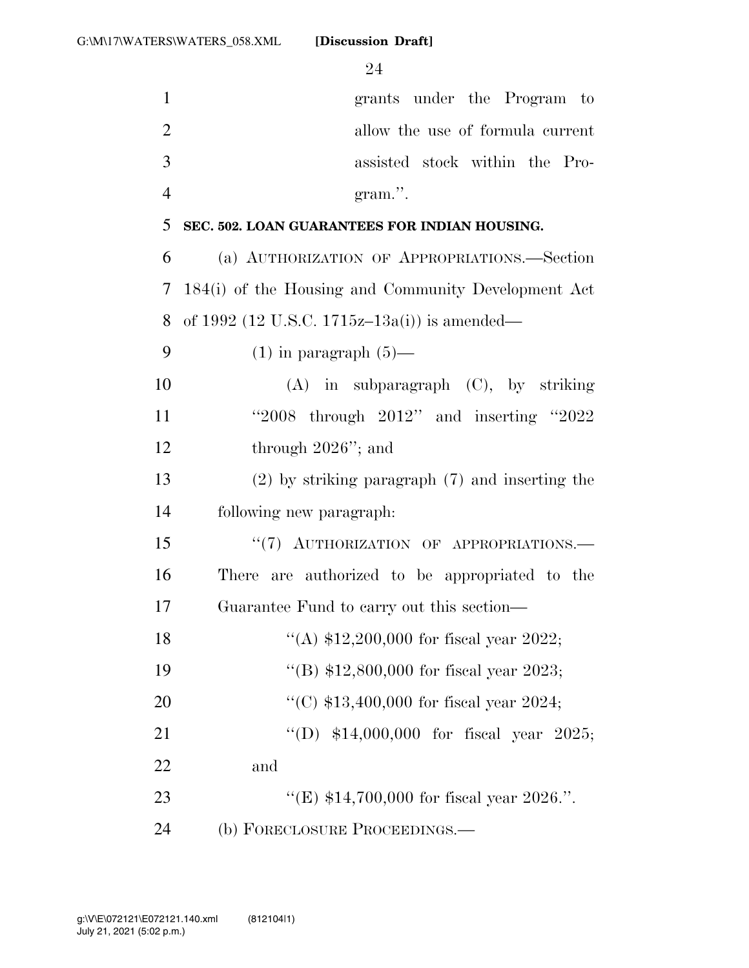| $\mathbf{1}$   | grants under the Program to                         |
|----------------|-----------------------------------------------------|
| $\overline{2}$ | allow the use of formula current                    |
| 3              | assisted stock within the Pro-                      |
| $\overline{4}$ | gram.".                                             |
| 5              | SEC. 502. LOAN GUARANTEES FOR INDIAN HOUSING.       |
| 6              | (a) AUTHORIZATION OF APPROPRIATIONS.—Section        |
| $\overline{7}$ | 184(i) of the Housing and Community Development Act |
| 8              | of 1992 (12 U.S.C. 1715z-13a(i)) is amended—        |
| 9              | $(1)$ in paragraph $(5)$ —                          |
| 10             | $(A)$ in subparagraph $(C)$ , by striking           |
| 11             | "2008 through $2012"$ and inserting "2022"          |
| 12             | through $2026$ "; and                               |
| 13             | $(2)$ by striking paragraph $(7)$ and inserting the |
| 14             | following new paragraph:                            |
| 15             | "(7) AUTHORIZATION OF APPROPRIATIONS.               |
| 16             | There are authorized to be appropriated to the      |
| 17             | Guarantee Fund to carry out this section—           |
| 18             | "(A) $$12,200,000$ for fiscal year 2022;            |
| 19             | "(B) $$12,800,000$ for fiscal year 2023;            |
| 20             | "(C) $$13,400,000$ for fiscal year 2024;            |
| 21             | "(D) $$14,000,000$ for fiscal year 2025;            |
| 22             | and                                                 |
| 23             | "(E) $$14,700,000$ for fiscal year 2026.".          |
| 24             | (b) FORECLOSURE PROCEEDINGS.—                       |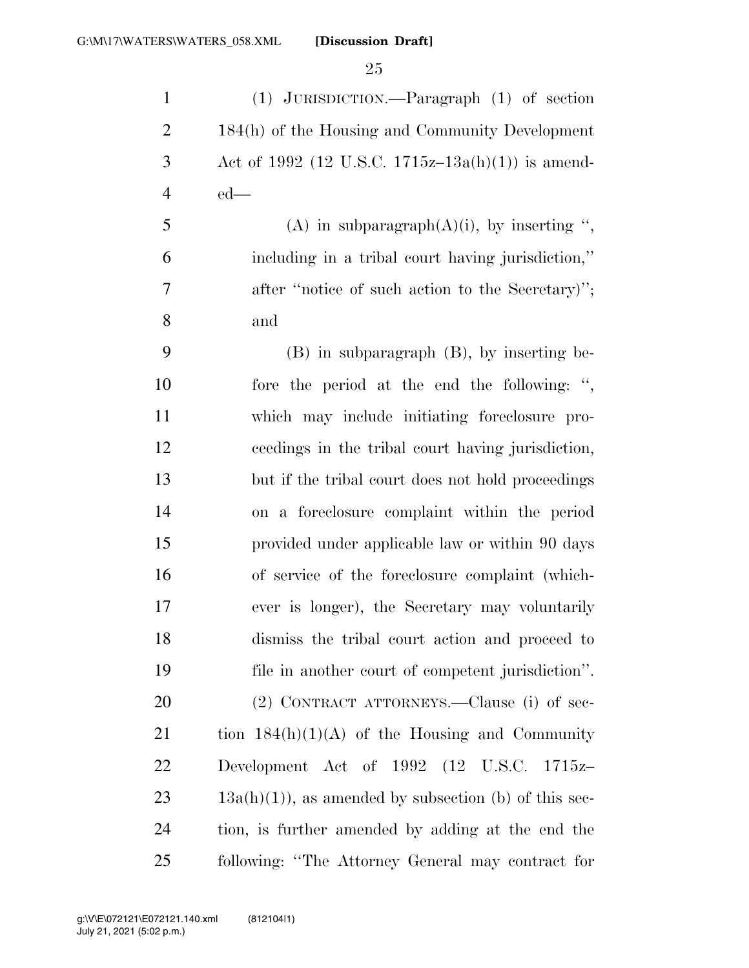(1) JURISDICTION.—Paragraph (1) of section 184(h) of the Housing and Community Development 3 Act of 1992 (12 U.S.C. 1715z–13a(h)(1)) is amend-ed—

5 (A) in subparagraph $(A)(i)$ , by inserting ", including in a tribal court having jurisdiction,'' after ''notice of such action to the Secretary)''; and

 (B) in subparagraph (B), by inserting be- fore the period at the end the following: '', which may include initiating foreclosure pro- ceedings in the tribal court having jurisdiction, but if the tribal court does not hold proceedings on a foreclosure complaint within the period provided under applicable law or within 90 days of service of the foreclosure complaint (which- ever is longer), the Secretary may voluntarily dismiss the tribal court action and proceed to file in another court of competent jurisdiction''. (2) CONTRACT ATTORNEYS.—Clause (i) of sec-21 tion  $184(h)(1)(A)$  of the Housing and Community Development Act of 1992 (12 U.S.C. 1715z–  $23 \text{ 13a(h)(1)}$ , as amended by subsection (b) of this sec- tion, is further amended by adding at the end the following: ''The Attorney General may contract for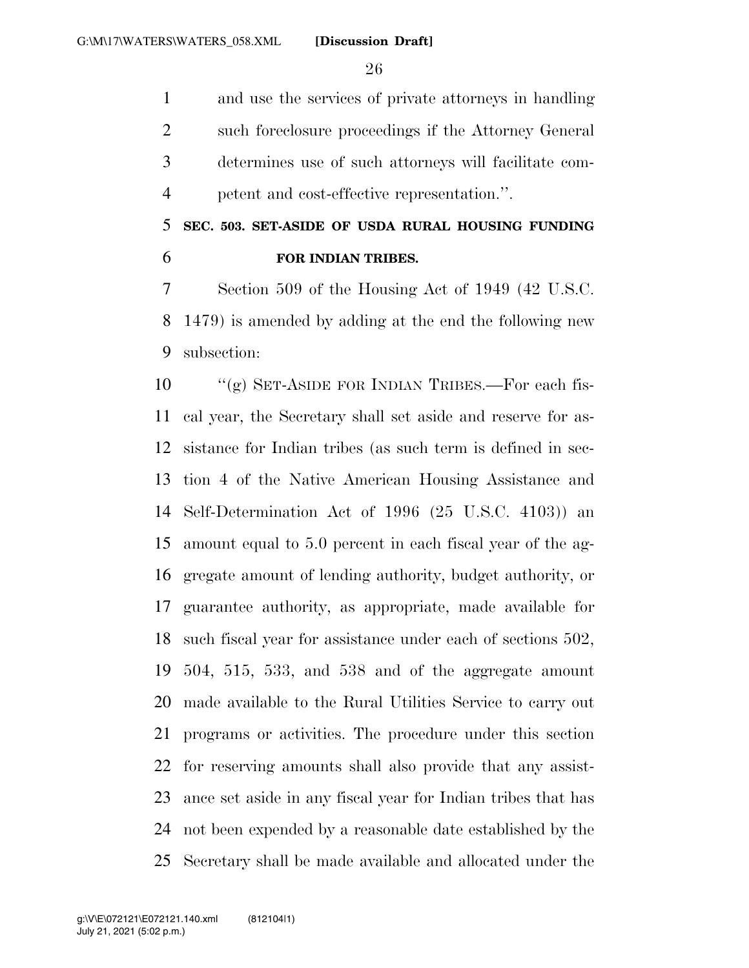and use the services of private attorneys in handling such foreclosure proceedings if the Attorney General determines use of such attorneys will facilitate com-petent and cost-effective representation.''.

## **SEC. 503. SET-ASIDE OF USDA RURAL HOUSING FUNDING FOR INDIAN TRIBES.**

 Section 509 of the Housing Act of 1949 (42 U.S.C. 1479) is amended by adding at the end the following new subsection:

 ''(g) SET-ASIDE FOR INDIAN TRIBES.—For each fis- cal year, the Secretary shall set aside and reserve for as- sistance for Indian tribes (as such term is defined in sec- tion 4 of the Native American Housing Assistance and Self-Determination Act of 1996 (25 U.S.C. 4103)) an amount equal to 5.0 percent in each fiscal year of the ag- gregate amount of lending authority, budget authority, or guarantee authority, as appropriate, made available for such fiscal year for assistance under each of sections 502, 504, 515, 533, and 538 and of the aggregate amount made available to the Rural Utilities Service to carry out programs or activities. The procedure under this section for reserving amounts shall also provide that any assist- ance set aside in any fiscal year for Indian tribes that has not been expended by a reasonable date established by the Secretary shall be made available and allocated under the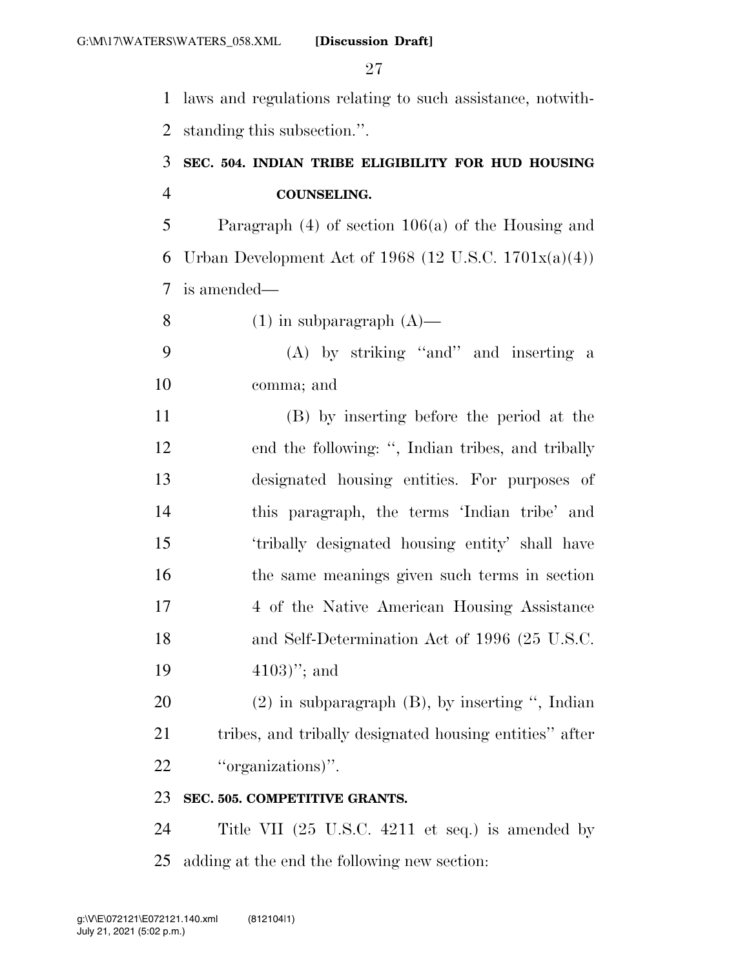laws and regulations relating to such assistance, notwith-

standing this subsection.''.

## **SEC. 504. INDIAN TRIBE ELIGIBILITY FOR HUD HOUSING COUNSELING.**

 Paragraph (4) of section 106(a) of the Housing and 6 Urban Development Act of 1968 (12 U.S.C. 1701 $x(a)(4)$ ) is amended—

8 (1) in subparagraph  $(A)$ —

 (A) by striking ''and'' and inserting a comma; and

 (B) by inserting before the period at the end the following: '', Indian tribes, and tribally designated housing entities. For purposes of this paragraph, the terms 'Indian tribe' and 'tribally designated housing entity' shall have the same meanings given such terms in section 4 of the Native American Housing Assistance and Self-Determination Act of 1996 (25 U.S.C. 4103)''; and

 (2) in subparagraph (B), by inserting '', Indian tribes, and tribally designated housing entities'' after 22 "organizations".

## **SEC. 505. COMPETITIVE GRANTS.**

 Title VII (25 U.S.C. 4211 et seq.) is amended by adding at the end the following new section: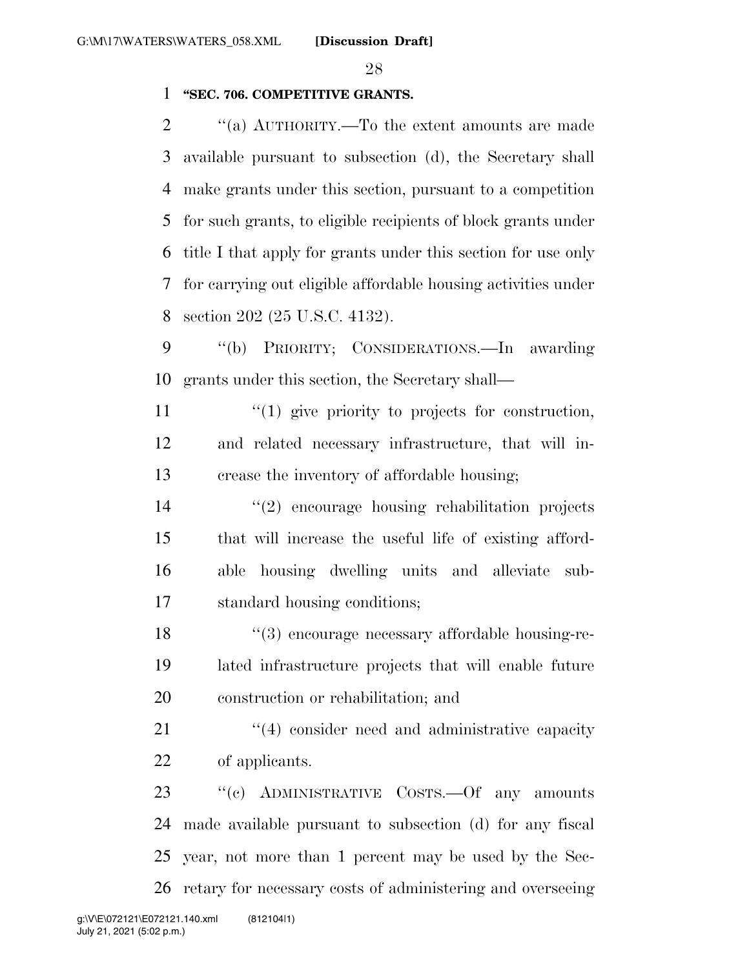#### **''SEC. 706. COMPETITIVE GRANTS.**

 ''(a) AUTHORITY.—To the extent amounts are made available pursuant to subsection (d), the Secretary shall make grants under this section, pursuant to a competition for such grants, to eligible recipients of block grants under title I that apply for grants under this section for use only for carrying out eligible affordable housing activities under section 202 (25 U.S.C. 4132).

 ''(b) PRIORITY; CONSIDERATIONS.—In awarding grants under this section, the Secretary shall—

 $\mathcal{L}(1)$  give priority to projects for construction, and related necessary infrastructure, that will in-crease the inventory of affordable housing;

 ''(2) encourage housing rehabilitation projects that will increase the useful life of existing afford- able housing dwelling units and alleviate sub-standard housing conditions;

 ''(3) encourage necessary affordable housing-re- lated infrastructure projects that will enable future construction or rehabilitation; and

21 ''(4) consider need and administrative capacity of applicants.

23 "(c) ADMINISTRATIVE COSTS.—Of any amounts made available pursuant to subsection (d) for any fiscal year, not more than 1 percent may be used by the Sec-retary for necessary costs of administering and overseeing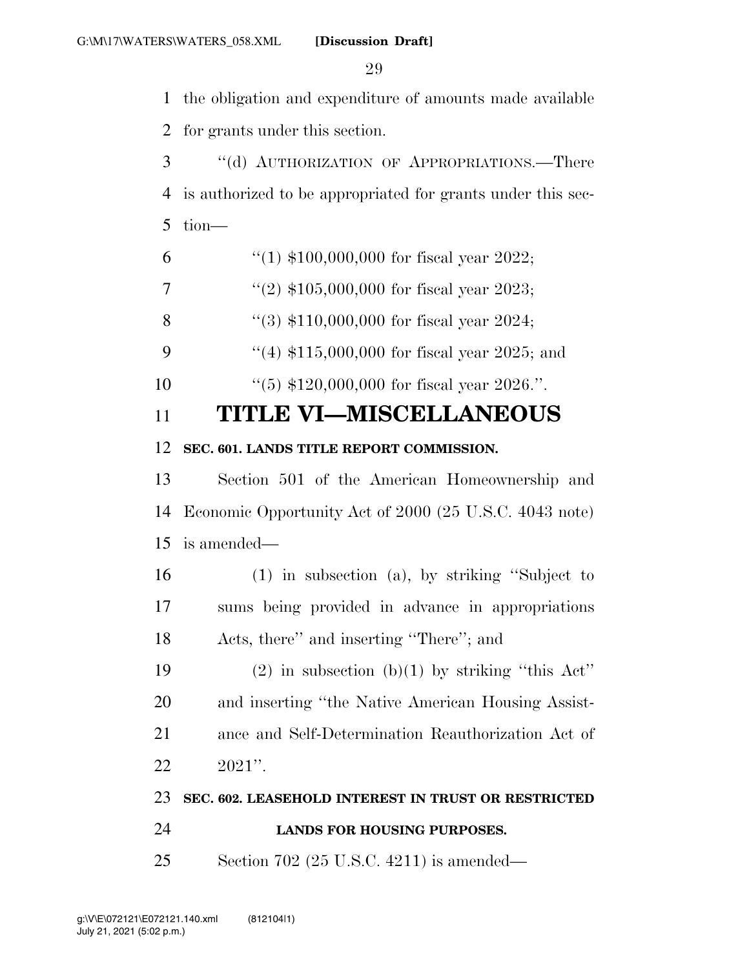the obligation and expenditure of amounts made available

for grants under this section.

 ''(d) AUTHORIZATION OF APPROPRIATIONS.—There is authorized to be appropriated for grants under this sec-tion—

6  $\frac{4}{1}$  \$100,000,000 for fiscal year 2022;

7  $\frac{1}{2}$   $\frac{1}{2}$  \$105,000,000 for fiscal year 2023;

''(3) \$110,000,000 for fiscal year 2024;

9 ''(4) \$115,000,000 for fiscal year 2025; and

''(5) \$120,000,000 for fiscal year 2026.''.

## **TITLE VI—MISCELLANEOUS**

## **SEC. 601. LANDS TITLE REPORT COMMISSION.**

 Section 501 of the American Homeownership and Economic Opportunity Act of 2000 (25 U.S.C. 4043 note) is amended—

 (1) in subsection (a), by striking ''Subject to sums being provided in advance in appropriations Acts, there'' and inserting ''There''; and

19 (2) in subsection (b)(1) by striking "this Act" and inserting ''the Native American Housing Assist- ance and Self-Determination Reauthorization Act of 2021''.

## **SEC. 602. LEASEHOLD INTEREST IN TRUST OR RESTRICTED**

- **LANDS FOR HOUSING PURPOSES.**
- Section 702 (25 U.S.C. 4211) is amended—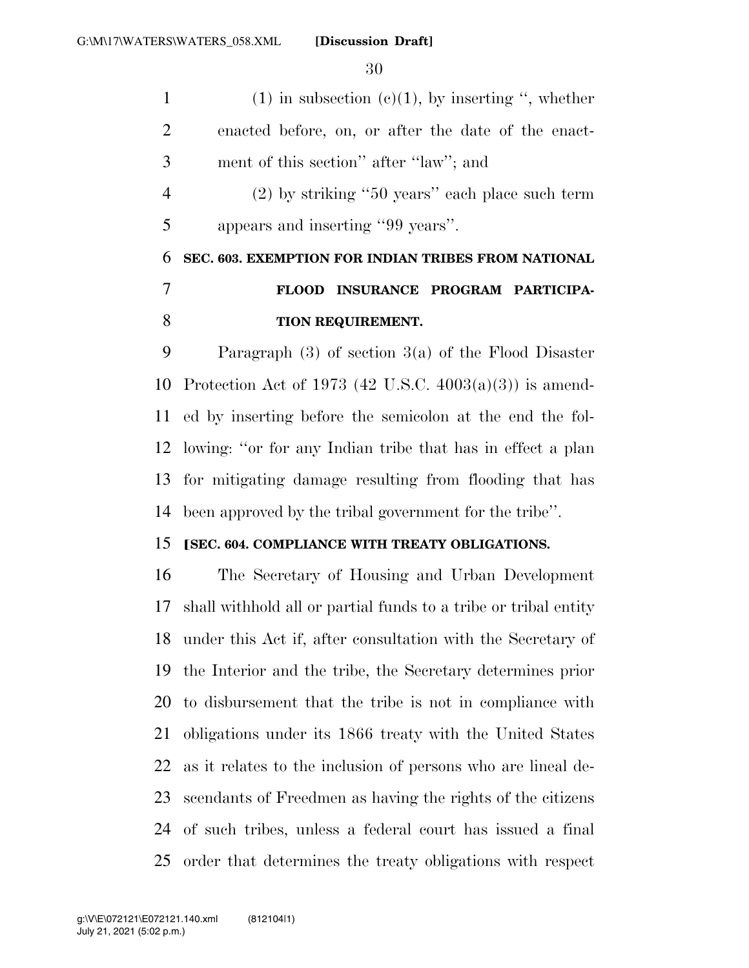1 (1) in subsection  $(c)(1)$ , by inserting ", whether enacted before, on, or after the date of the enact- ment of this section'' after ''law''; and (2) by striking ''50 years'' each place such term appears and inserting ''99 years''. **SEC. 603. EXEMPTION FOR INDIAN TRIBES FROM NATIONAL FLOOD INSURANCE PROGRAM PARTICIPA-**

#### **TION REQUIREMENT.**

 Paragraph (3) of section 3(a) of the Flood Disaster Protection Act of 1973 (42 U.S.C. 4003(a)(3)) is amend- ed by inserting before the semicolon at the end the fol- lowing: ''or for any Indian tribe that has in effect a plan for mitigating damage resulting from flooding that has been approved by the tribal government for the tribe''.

#### **[SEC. 604. COMPLIANCE WITH TREATY OBLIGATIONS.**

 The Secretary of Housing and Urban Development shall withhold all or partial funds to a tribe or tribal entity under this Act if, after consultation with the Secretary of the Interior and the tribe, the Secretary determines prior to disbursement that the tribe is not in compliance with obligations under its 1866 treaty with the United States as it relates to the inclusion of persons who are lineal de- scendants of Freedmen as having the rights of the citizens of such tribes, unless a federal court has issued a final order that determines the treaty obligations with respect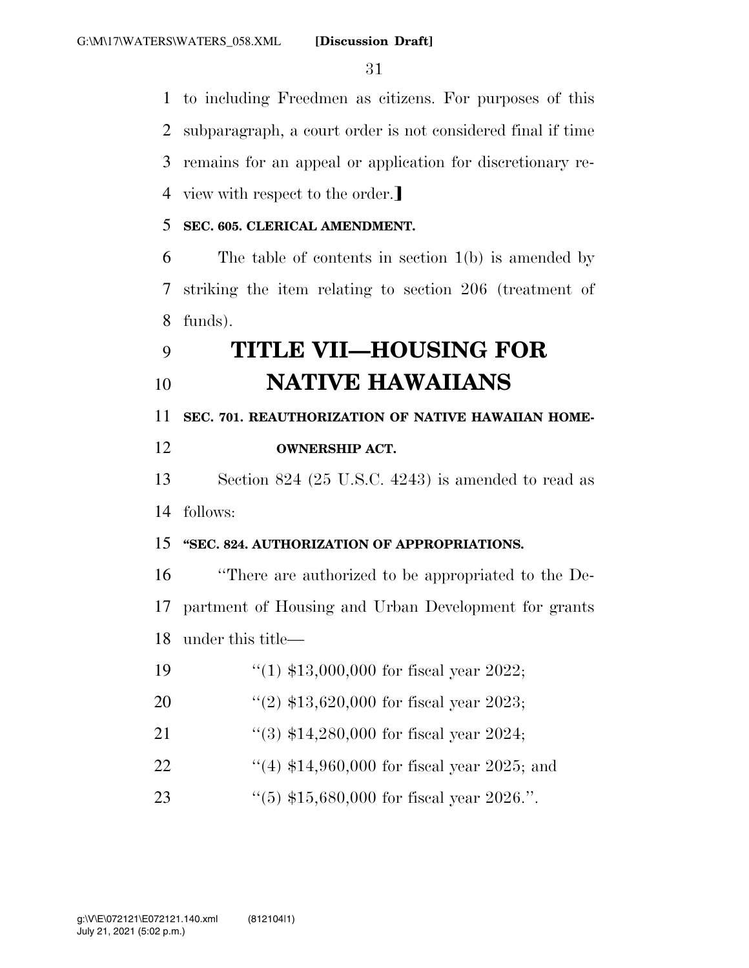to including Freedmen as citizens. For purposes of this subparagraph, a court order is not considered final if time remains for an appeal or application for discretionary re-4 view with respect to the order.

#### **SEC. 605. CLERICAL AMENDMENT.**

 The table of contents in section 1(b) is amended by striking the item relating to section 206 (treatment of funds).

# **TITLE VII—HOUSING FOR NATIVE HAWAIIANS**

**SEC. 701. REAUTHORIZATION OF NATIVE HAWAIIAN HOME-**

## **OWNERSHIP ACT.**

 Section 824 (25 U.S.C. 4243) is amended to read as follows:

#### **''SEC. 824. AUTHORIZATION OF APPROPRIATIONS.**

 ''There are authorized to be appropriated to the De- partment of Housing and Urban Development for grants under this title—

- ''(1) \$13,000,000 for fiscal year 2022;
- ''(2) \$13,620,000 for fiscal year 2023;
- 21 ''(3) \$14,280,000 for fiscal year 2024;
- 22 ''(4) \$14,960,000 for fiscal year 2025; and
- ''(5) \$15,680,000 for fiscal year 2026.''.